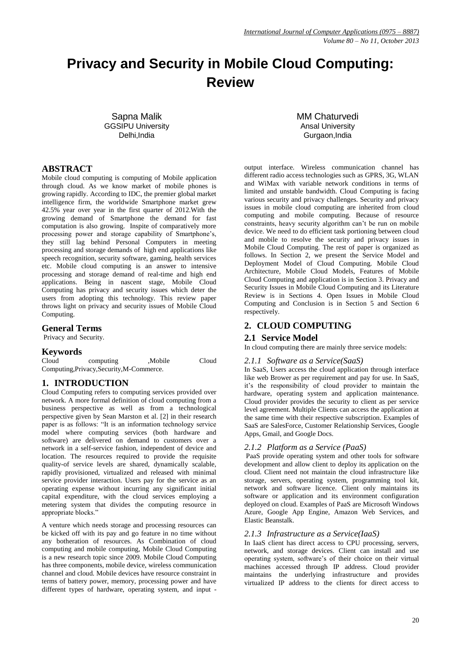# **Privacy and Security in Mobile Cloud Computing: Review**

Sapna Malik GGSIPU University Delhi,India

MM Chaturvedi Ansal University Gurgaon,India

#### **ABSTRACT**

Mobile cloud computing is computing of Mobile application through cloud. As we know market of mobile phones is growing rapidly. According to IDC, the premier global market intelligence firm, the worldwide Smartphone market grew 42.5% year over year in the first quarter of 2012.With the growing demand of Smartphone the demand for fast computation is also growing. Inspite of comparatively more processing power and storage capability of Smartphone's, they still lag behind Personal Computers in meeting processing and storage demands of high end applications like speech recognition, security software, gaming, health services etc. Mobile cloud computing is an answer to intensive processing and storage demand of real-time and high end applications. Being in nascent stage, Mobile Cloud Computing has privacy and security issues which deter the users from adopting this technology. This review paper throws light on privacy and security issues of Mobile Cloud Computing.

#### **General Terms**

Privacy and Security.

#### **Keywords**

Cloud computing ,Mobile Cloud Computing,Privacy,Security,M-Commerce.

#### **1. INTRODUCTION**

Cloud Computing refers to computing services provided over network. A more formal definition of cloud computing from a business perspective as well as from a technological perspective given by Sean Marston et al. [2] in their research paper is as follows: "It is an information technology service model where computing services (both hardware and software) are delivered on demand to customers over a network in a self-service fashion, independent of device and location. The resources required to provide the requisite quality-of service levels are shared, dynamically scalable, rapidly provisioned, virtualized and released with minimal service provider interaction. Users pay for the service as an operating expense without incurring any significant initial capital expenditure, with the cloud services employing a metering system that divides the computing resource in appropriate blocks."

A venture which needs storage and processing resources can be kicked off with its pay and go feature in no time without any botheration of resources. As Combination of cloud computing and mobile computing, Mobile Cloud Computing is a new research topic since 2009. Mobile Cloud Computing has three components, mobile device, wireless communication channel and cloud. Mobile devices have resource constraint in terms of battery power, memory, processing power and have different types of hardware, operating system, and input -

output interface. Wireless communication channel has different radio access technologies such as GPRS, 3G, WLAN and WiMax with variable network conditions in terms of limited and unstable bandwidth. Cloud Computing is facing various security and privacy challenges. Security and privacy issues in mobile cloud computing are inherited from cloud computing and mobile computing. Because of resource constraints, heavy security algorithm can't be run on mobile device. We need to do efficient task portioning between cloud and mobile to resolve the security and privacy issues in Mobile Cloud Computing. The rest of paper is organized as follows. In Section 2, we present the Service Model and Deployment Model of Cloud Computing. Mobile Cloud Architecture, Mobile Cloud Models, Features of Mobile Cloud Computing and application is in Section 3. Privacy and Security Issues in Mobile Cloud Computing and its Literature Review is in Sections 4. Open Issues in Mobile Cloud Computing and Conclusion is in Section 5 and Section 6 respectively.

## **2. CLOUD COMPUTING**

#### **2.1 Service Model**

In cloud computing there are mainly three service models:

#### *2.1.1 Software as a Service(SaaS)*

In SaaS, Users access the cloud application through interface like web Brower as per requirement and pay for use. In SaaS, it's the responsibility of cloud provider to maintain the hardware, operating system and application maintenance. Cloud provider provides the security to client as per service level agreement. Multiple Clients can access the application at the same time with their respective subscription. Examples of SaaS are SalesForce, Customer Relationship Services, Google Apps, Gmail, and Google Docs.

#### *2.1.2 Platform as a Service (PaaS)*

PaaS provide operating system and other tools for software development and allow client to deploy its application on the cloud. Client need not maintain the cloud infrastructure like storage, servers, operating system, programming tool kit, network and software licence. Client only maintains its software or application and its environment configuration deployed on cloud. Examples of PaaS are Microsoft Windows Azure, Google App Engine, Amazon Web Services, and Elastic Beanstalk.

#### *2.1.3 Infrastructure as a Service(IaaS)*

In IaaS client has direct access to CPU processing, servers, network, and storage devices. Client can install and use operating system, software's of their choice on their virtual machines accessed through IP address. Cloud provider maintains the underlying infrastructure and provides virtualized IP address to the clients for direct access to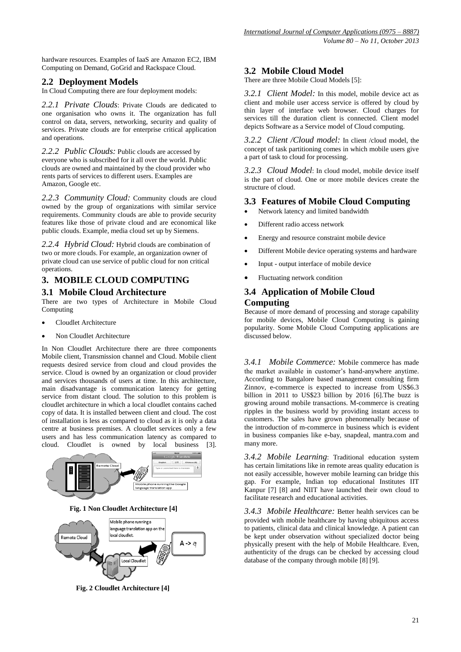hardware resources. Examples of IaaS are Amazon EC2, IBM Computing on Demand, GoGrid and Rackspace Cloud.

## **2.2 Deployment Models**

In Cloud Computing there are four deployment models:

*2.2.1 Private Clouds*: Private Clouds are dedicated to one organisation who owns it. The organization has full control on data, servers, networking, security and quality of services. Private clouds are for enterprise critical application and operations.

*2.2.2 Public Clouds:* Public clouds are accessed by everyone who is subscribed for it all over the world. Public clouds are owned and maintained by the cloud provider who rents parts of services to different users. Examples are Amazon, Google etc.

*2.2.3 Community Cloud:* Community clouds are cloud owned by the group of organizations with similar service requirements. Community clouds are able to provide security features like those of private cloud and are economical like public clouds. Example, media cloud set up by Siemens.

*2.2.4 Hybrid Cloud:* Hybrid clouds are combination of two or more clouds. For example, an organization owner of private cloud can use service of public cloud for non critical operations.

# **3. MOBILE CLOUD COMPUTING**

#### **3.1 Mobile Cloud Architecture**

There are two types of Architecture in Mobile Cloud Computing

- Cloudlet Architecture
- Non Cloudlet Architecture

In Non Cloudlet Architecture there are three components Mobile client, Transmission channel and Cloud. Mobile client requests desired service from cloud and cloud provides the service. Cloud is owned by an organization or cloud provider and services thousands of users at time. In this architecture, main disadvantage is communication latency for getting service from distant cloud. The solution to this problem is cloudlet architecture in which a local cloudlet contains cached copy of data. It is installed between client and cloud. The cost of installation is less as compared to cloud as it is only a data centre at business premises. A cloudlet services only a few users and has less communication latency as compared to cloud. Cloudlet is owned by local business [3].



**Fig. 1 Non Cloudlet Architecture [4]**



**Fig. 2 Cloudlet Architecture [4]**

## **3.2 Mobile Cloud Model**

There are three Mobile Cloud Models [5]:

*3.2.1 Client Model:* In this model, mobile device act as client and mobile user access service is offered by cloud by thin layer of interface web browser. Cloud charges for services till the duration client is connected. Client model depicts Software as a Service model of Cloud computing.

*3.2.2 Client /Cloud model:* In client /cloud model, the concept of task partitioning comes in which mobile users give a part of task to cloud for processing.

*3.2.3 Cloud Model*: In cloud model, mobile device itself is the part of cloud. One or more mobile devices create the structure of cloud.

#### **3.3 Features of Mobile Cloud Computing**

- Network latency and limited bandwidth
- Different radio access network
- Energy and resource constraint mobile device
- Different Mobile device operating systems and hardware
- Input output interface of mobile device
- Fluctuating network condition

## **3.4 Application of Mobile Cloud Computing**

Because of more demand of processing and storage capability for mobile devices, Mobile Cloud Computing is gaining popularity. Some Mobile Cloud Computing applications are discussed below.

*3.4.1 Mobile Commerce:* Mobile commerce has made the market available in customer's hand-anywhere anytime. According to Bangalore based management consulting firm Zinnov, e-commerce is expected to increase from US\$6.3 billion in 2011 to US\$23 billion by 2016 [6].The buzz is growing around mobile transactions. M-commerce is creating ripples in the business world by providing instant access to customers. The sales have grown phenomenally because of the introduction of m-commerce in business which is evident in business companies like e-bay, snapdeal, mantra.com and many more.

*3.4.2 Mobile Learning*: Traditional education system has certain limitations like in remote areas quality education is not easily accessible, however mobile learning can bridge this gap. For example, Indian top educational Institutes IIT Kanpur [7] [8] and NIIT have launched their own cloud to facilitate research and educational activities.

*3.4.3 Mobile Healthcare:* Better health services can be provided with mobile healthcare by having ubiquitous access to patients, clinical data and clinical knowledge. A patient can be kept under observation without specialized doctor being physically present with the help of Mobile Healthcare. Even, authenticity of the drugs can be checked by accessing cloud database of the company through mobile [8] [9].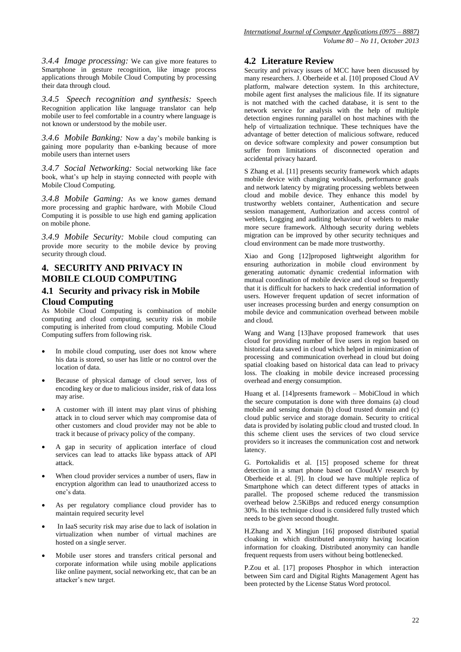*3.4.4 Image processing:* We can give more features to Smartphone in gesture recognition, like image process applications through Mobile Cloud Computing by processing their data through cloud.

*3.4.5 Speech recognition and synthesis:* Speech Recognition application like language translator can help mobile user to feel comfortable in a country where language is not known or understood by the mobile user.

*3.4.6 Mobile Banking:* Now a day's mobile banking is gaining more popularity than e-banking because of more mobile users than internet users

*3.4.7 Social Networking:* Social networking like face book, what's up help in staying connected with people with Mobile Cloud Computing.

*3.4.8 Mobile Gaming:* As we know games demand more processing and graphic hardware, with Mobile Cloud Computing it is possible to use high end gaming application on mobile phone.

*3.4.9 Mobile Security:* Mobile cloud computing can provide more security to the mobile device by proving security through cloud.

# **4. SECURITY AND PRIVACY IN MOBILE CLOUD COMPUTING**

## **4.1 Security and privacy risk in Mobile Cloud Computing**

As Mobile Cloud Computing is combination of mobile computing and cloud computing, security risk in mobile computing is inherited from cloud computing. Mobile Cloud Computing suffers from following risk.

- In mobile cloud computing, user does not know where his data is stored, so user has little or no control over the location of data.
- Because of physical damage of cloud server, loss of encoding key or due to malicious insider, risk of data loss may arise.
- A customer with ill intent may plant virus of phishing attack in to cloud server which may compromise data of other customers and cloud provider may not be able to track it because of privacy policy of the company.
- A gap in security of application interface of cloud services can lead to attacks like bypass attack of API attack.
- When cloud provider services a number of users, flaw in encryption algorithm can lead to unauthorized access to one's data.
- As per regulatory compliance cloud provider has to maintain required security level
- In IaaS security risk may arise due to lack of isolation in virtualization when number of virtual machines are hosted on a single server.
- Mobile user stores and transfers critical personal and corporate information while using mobile applications like online payment, social networking etc, that can be an attacker's new target.

## **4.2 Literature Review**

Security and privacy issues of MCC have been discussed by many researchers. J. Oberheide et al. [10] proposed Cloud AV platform, malware detection system. In this architecture, mobile agent first analyses the malicious file. If its signature is not matched with the cached database, it is sent to the network service for analysis with the help of multiple detection engines running parallel on host machines with the help of virtualization technique. These techniques have the advantage of better detection of malicious software, reduced on device software complexity and power consumption but suffer from limitations of disconnected operation and accidental privacy hazard.

S Zhang et al. [11] presents security framework which adapts mobile device with changing workloads, performance goals and network latency by migrating processing weblets between cloud and mobile device. They enhance this model by trustworthy weblets container, Authentication and secure session management, Authorization and access control of weblets, Logging and auditing behaviour of weblets to make more secure framework. Although security during weblets migration can be improved by other security techniques and cloud environment can be made more trustworthy.

Xiao and Gong [12]proposed lightweight algorithm for ensuring authorization in mobile cloud environment by generating automatic dynamic credential information with mutual coordination of mobile device and cloud so frequently that it is difficult for hackers to hack credential information of users. However frequent updation of secret information of user increases processing burden and energy consumption on mobile device and communication overhead between mobile and cloud.

Wang and Wang [13]have proposed framework that uses cloud for providing number of live users in region based on historical data saved in cloud which helped in minimization of processing and communication overhead in cloud but doing spatial cloaking based on historical data can lead to privacy loss. The cloaking in mobile device increased processing overhead and energy consumption.

Huang et al. [14]presents framework – MobiCloud in which the secure computation is done with three domains (a) cloud mobile and sensing domain (b) cloud trusted domain and (c) cloud public service and storage domain. Security to critical data is provided by isolating public cloud and trusted cloud. In this scheme client uses the services of two cloud service providers so it increases the communication cost and network latency.

G. Portokalidis et al. [15] proposed scheme for threat detection in a smart phone based on CloudAV research by Oberheide et al. [9]. In cloud we have multiple replica of Smartphone which can detect different types of attacks in parallel. The proposed scheme reduced the transmission overhead below 2.5KiBps and reduced energy consumption 30%. In this technique cloud is considered fully trusted which needs to be given second thought.

H.Zhang and X Mingjun [16] proposed distributed spatial cloaking in which distributed anonymity having location information for cloaking. Distributed anonymity can handle frequent requests from users without being bottlenecked.

P.Zou et al. [17] proposes Phosphor in which interaction between Sim card and Digital Rights Management Agent has been protected by the License Status Word protocol.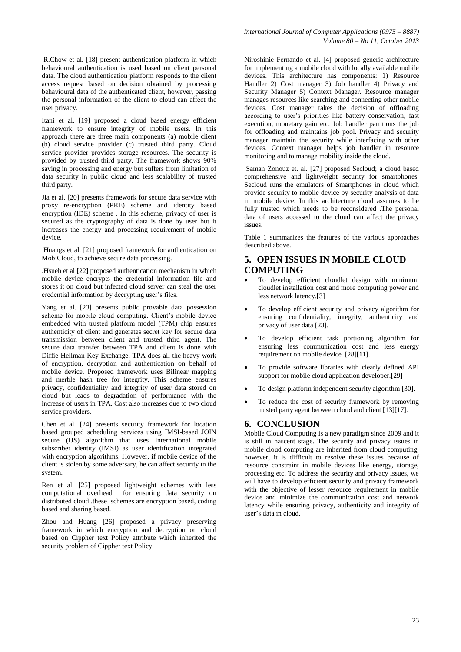R.Chow et al. [18] present authentication platform in which behavioural authentication is used based on client personal data. The cloud authentication platform responds to the client access request based on decision obtained by processing behavioural data of the authenticated client, however, passing the personal information of the client to cloud can affect the user privacy.

Itani et al. [19] proposed a cloud based energy efficient framework to ensure integrity of mobile users. In this approach there are three main components (a) mobile client (b) cloud service provider (c) trusted third party. Cloud service provider provides storage resources. The security is provided by trusted third party. The framework shows 90% saving in processing and energy but suffers from limitation of data security in public cloud and less scalability of trusted third party.

Jia et al. [20] presents framework for secure data service with proxy re-encryption (PRE) scheme and identity based encryption (IDE) scheme. In this scheme, privacy of user is secured as the cryptography of data is done by user but it increases the energy and processing requirement of mobile device.

Huangs et al. [21] proposed framework for authentication on MobiCloud, to achieve secure data processing.

.Hsueh et al [22] proposed authentication mechanism in which mobile device encrypts the credential information file and stores it on cloud but infected cloud server can steal the user credential information by decrypting user's files.

Yang et al. [23] presents public provable data possession scheme for mobile cloud computing. Client's mobile device embedded with trusted platform model (TPM) chip ensures authenticity of client and generates secret key for secure data transmission between client and trusted third agent. The secure data transfer between TPA and client is done with Diffie Hellman Key Exchange. TPA does all the heavy work of encryption, decryption and authentication on behalf of mobile device. Proposed framework uses Bilinear mapping and merble hash tree for integrity. This scheme ensures privacy, confidentiality and integrity of user data stored on cloud but leads to degradation of performance with the increase of users in TPA. Cost also increases due to two cloud service providers.

Chen et al. [24] presents security framework for location based grouped scheduling services using IMSI-based JOIN secure (IJS) algorithm that uses international mobile subscriber identity (IMSI) as user identification integrated with encryption algorithms. However, if mobile device of the client is stolen by some adversary, he can affect security in the system.

Ren et al. [25] proposed lightweight schemes with less computational overhead for ensuring data security on distributed cloud .these schemes are encryption based, coding based and sharing based.

Zhou and Huang [26] proposed a privacy preserving framework in which encryption and decryption on cloud based on Cippher text Policy attribute which inherited the security problem of Cippher text Policy.

Niroshinie Fernando et al. [4] proposed generic architecture for implementing a mobile cloud with locally available mobile devices. This architecture has components: 1) Resource Handler 2) Cost manager 3) Job handler 4) Privacy and Security Manager 5) Context Manager. Resource manager manages resources like searching and connecting other mobile devices. Cost manager takes the decision of offloading according to user's priorities like battery conservation, fast execution, monetary gain etc. Job handler partitions the job for offloading and maintains job pool. Privacy and security manager maintain the security while interfacing with other devices. Context manager helps job handler in resource monitoring and to manage mobility inside the cloud.

Saman Zonouz et. al. [27] proposed Secloud; a cloud based comprehensive and lightweight security for smartphones. Secloud runs the emulators of Smartphones in cloud which provide security to mobile device by security analysis of data in mobile device. In this architecture cloud assumes to be fully trusted which needs to be reconsidered .The personal data of users accessed to the cloud can affect the privacy issues.

Table 1 summarizes the features of the various approaches described above.

#### **5. OPEN ISSUES IN MOBILE CLOUD COMPUTING**

- To develop efficient cloudlet design with minimum cloudlet installation cost and more computing power and less network latency.[3]
- To develop efficient security and privacy algorithm for ensuring confidentiality, integrity, authenticity and privacy of user data [23].
- To develop efficient task portioning algorithm for ensuring less communication cost and less energy requirement on mobile device [28][11].
- To provide software libraries with clearly defined API support for mobile cloud application developer.[29]
- To design platform independent security algorithm [30].
- To reduce the cost of security framework by removing trusted party agent between cloud and client [13][17].

#### **6. CONCLUSION**

Mobile Cloud Computing is a new paradigm since 2009 and it is still in nascent stage. The security and privacy issues in mobile cloud computing are inherited from cloud computing, however, it is difficult to resolve these issues because of resource constraint in mobile devices like energy, storage, processing etc. To address the security and privacy issues, we will have to develop efficient security and privacy framework with the objective of lesser resource requirement in mobile device and minimize the communication cost and network latency while ensuring privacy, authenticity and integrity of user's data in cloud.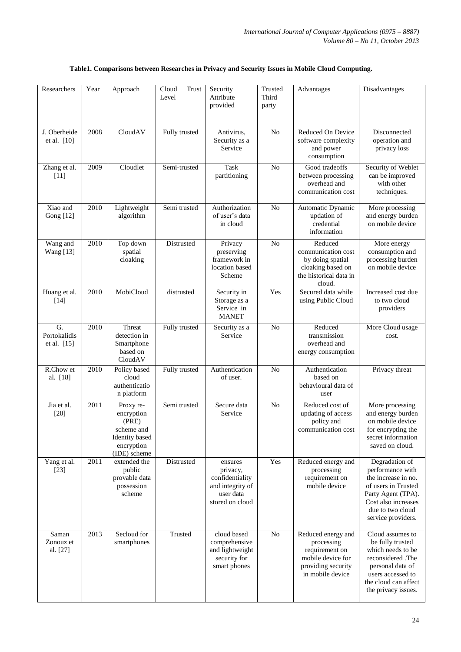| Researchers                                     | Year | Approach                                                                                       | Cloud<br>Trust<br>Level | Security<br>Attribute<br>provided                                                          | Trusted<br>Third<br>party | Advantages                                                                                                        | Disadvantages                                                                                                                                                           |
|-------------------------------------------------|------|------------------------------------------------------------------------------------------------|-------------------------|--------------------------------------------------------------------------------------------|---------------------------|-------------------------------------------------------------------------------------------------------------------|-------------------------------------------------------------------------------------------------------------------------------------------------------------------------|
| J. Oberheide<br>et al. [10]                     | 2008 | CloudAV                                                                                        | Fully trusted           | Antivirus,<br>Security as a<br>Service                                                     | N <sub>o</sub>            | Reduced On Device<br>software complexity<br>and power<br>consumption                                              | Disconnected<br>operation and<br>privacy loss                                                                                                                           |
| Zhang et al.<br>$[11]$                          | 2009 | Cloudlet                                                                                       | Semi-trusted            | <b>Task</b><br>partitioning                                                                | N <sub>o</sub>            | Good tradeoffs<br>between processing<br>overhead and<br>communication cost                                        | Security of Weblet<br>can be improved<br>with other<br>techniques.                                                                                                      |
| Xiao and<br><b>Gong</b> [12]                    | 2010 | Lightweight<br>algorithm                                                                       | Semi trusted            | Authorization<br>of user's data<br>in cloud                                                | No                        | Automatic Dynamic<br>updation of<br>credential<br>information                                                     | More processing<br>and energy burden<br>on mobile device                                                                                                                |
| Wang and<br><b>Wang</b> [13]                    | 2010 | Top down<br>spatial<br>cloaking                                                                | Distrusted              | Privacy<br>preserving<br>framework in<br>location based<br>Scheme                          | No                        | Reduced<br>communication cost<br>by doing spatial<br>cloaking based on<br>the historical data in<br>cloud.        | More energy<br>consumption and<br>processing burden<br>on mobile device                                                                                                 |
| Huang et al.<br>$[14]$                          | 2010 | MobiCloud                                                                                      | distrusted              | Security in<br>Storage as a<br>Service in<br><b>MANET</b>                                  | Yes                       | Secured data while<br>using Public Cloud                                                                          | Increased cost due<br>to two cloud<br>providers                                                                                                                         |
| $\overline{G}$ .<br>Portokalidis<br>et al. [15] | 2010 | Threat<br>detection in<br>Smartphone<br>based on<br>CloudAV                                    | Fully trusted           | Security as a<br>Service                                                                   | No                        | Reduced<br>transmission<br>overhead and<br>energy consumption                                                     | More Cloud usage<br>cost.                                                                                                                                               |
| R.Chow et<br>al. [18]                           | 2010 | Policy based<br>cloud<br>authenticatio<br>n platform                                           | Fully trusted           | Authentication<br>of user.                                                                 | N <sub>o</sub>            | Authentication<br>based on<br>behavioural data of<br>user                                                         | Privacy threat                                                                                                                                                          |
| Jia et al.<br>$[20]$                            | 2011 | Proxy re-<br>encryption<br>(PRE)<br>scheme and<br>Identity based<br>encryption<br>(IDE) scheme | Semi trusted            | Secure data<br>Service                                                                     | $\overline{No}$           | Reduced cost of<br>updating of access<br>policy and<br>communication cost                                         | More processing<br>and energy burden<br>on mobile device<br>for encrypting the<br>secret information<br>saved on cloud.                                                 |
| Yang et al.<br>$[23]$                           | 2011 | extended the<br>public<br>provable data<br>possession<br>scheme                                | Distrusted              | ensures<br>privacy,<br>confidentiality<br>and integrity of<br>user data<br>stored on cloud | Yes                       | Reduced energy and<br>processing<br>requirement on<br>mobile device                                               | Degradation of<br>performance with<br>the increase in no.<br>of users in Trusted<br>Party Agent (TPA).<br>Cost also increases<br>due to two cloud<br>service providers. |
| Saman<br>Zonouz et<br>al. [27]                  | 2013 | Secloud for<br>smartphones                                                                     | Trusted                 | cloud based<br>comprehensive<br>and lightweight<br>security for<br>smart phones            | No                        | Reduced energy and<br>processing<br>requirement on<br>mobile device for<br>providing security<br>in mobile device | Cloud assumes to<br>be fully trusted<br>which needs to be<br>reconsidered .The<br>personal data of<br>users accessed to<br>the cloud can affect<br>the privacy issues.  |

## **Table1. Comparisons between Researches in Privacy and Security Issues in Mobile Cloud Computing.**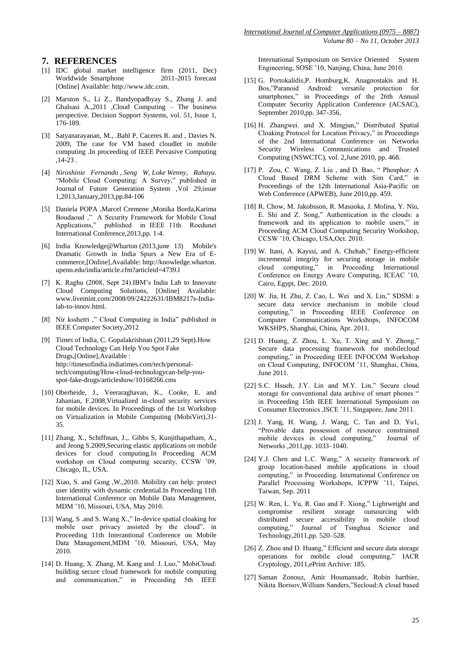#### **7. REFERENCES**

- [1] IDC global market intelligence firm (2011, Dec) Worldwide Smartphone 2011-2015 forecast [Online] Available[: http://www.idc.com.](http://www.idc.com/)
- [2] Marston S., Li Z., Bandyopadhyay S., Zhang J. and Ghalsasi A.,2011 ,Cloud Computing – The business perspective. Decision Support Systems, vol. 51, Issue 1, 176-189.
- [3] Satyanarayanan, M., .Bahl P, Caceres R. and , Davies N. 2009, The case for VM based cloudlet in mobile computing .In proceeding of IEEE Pervasive Computing ,14-23 .
- [4] *Niroshinie Fernando* , *Seng W, Loke Wenny, Rahayu*. "Mobile Cloud Computing: A Survey," published in Journal of Future Generation System ,Vol 29,issue 1,2013,January,2013,pp.84-106
- [5] Daniela POPA ,Marcel Cremene ,Monika Borda,Karima Boudaoud ," A Security Framework for Mobile Cloud Applications," published in IEEE 11th Roedunet International Conference,2013,pp. 1-4.
- [6] India Knowledge@Wharton (2013,june 13) Mobile's Dramatic Growth in India Spurs a New Era of Ecommerce,[Online],Available: [http://knowledge.wharton.](http://knowledge.wharton.upenn.edu/india/article.cfm?articleid=4739) [upenn.edu/india/article.cfm?articleid=4739.l](http://knowledge.wharton.upenn.edu/india/article.cfm?articleid=4739)
- [7] K. Raghu (2008, Sept 24).IBM's India Lab to Innovate Cloud Computing Solutions, [Online] Available: [www.livemint.com/2008/09/24222631/IBM8217s-India](http://www.livemint.com/2008/09/24222631/IBM8217s-India-lab-to-innov.html)[lab-to-innov.html.](http://www.livemint.com/2008/09/24222631/IBM8217s-India-lab-to-innov.html)
- [8] Nir ksshetri ," Cloud Computing in India" published in IEEE Computer Society,2012
- [9] Times of India, C. Gopalakrishnan (2011,29 Sept).How Cloud Technology Can Help You Spot Fake Drugs,[Online],Available : [http://timesofindia.indiatimes.com/tech/personal](http://timesofindia.indiatimes.com/tech/personal-tech/computing/How-cloud-technologycan-help-you-spot-fake-drugs/articleshow/10168266.cms)[tech/computing/How-cloud-technologycan-help-you](http://timesofindia.indiatimes.com/tech/personal-tech/computing/How-cloud-technologycan-help-you-spot-fake-drugs/articleshow/10168266.cms)[spot-fake-drugs/articleshow/10168266.cms](http://timesofindia.indiatimes.com/tech/personal-tech/computing/How-cloud-technologycan-help-you-spot-fake-drugs/articleshow/10168266.cms)
- [10] Oberheide, J., Veeraraghavan, K., Cooke, E. and Jahanian, F.2008,Virtualized in-cloud security services for mobile devices. In Proceedings of the 1st Workshop on Virtualization in Mobile Computing (MobiVirt),31- 35.
- [11] Zhang, X., Schiffman, J.,. Gibbs S, Kunjithapatham, A., and Jeong S.2009,Securing elastic applications on mobile devices for cloud computing.In Proceeding ACM workshop on Cloud computing security, CCSW '09, Chicago, IL, USA.
- [12] Xiao, S. and Gong ,W.,2010. Mobility can help: protect user identity with dynamic credential.In Proceeding 11th International Conference on Mobile Data Management, MDM '10, Missouri, USA, May 2010.
- [13] Wang, S .and S. Wang X.," In-device spatial cloaking for mobile user privacy assisted by the cloud", in Proceeding 11th Interantional Conference on Mobile Data Management,MDM '10, Missouri, USA, May 2010.
- [14] D. Huang, X. Zhang, M. Kang and J. Luo," MobiCloud: building secure cloud framework for mobile computing and communication," in Proceeding 5th IEEE

International Symposium on Service Oriented System Engineering, SOSE '10, Nanjing, China, June 2010.

- [15] G. Portokalidis,P. Homburg,K. Anagnostakis and H. Bos,"Paranoid Android: versatile protection for smartphones," in Proceedings of the 26th Annual Computer Security Application Conference (ACSAC), September 2010,pp. 347-356,
- [16] H. Zhangwei. and X. Mingjun," Distributed Spatial Cloaking Protocol for Location Privacy," in Proceedings of the 2nd International Conference on Networks Security Wireless Communications and Trusted Computing (NSWCTC), vol. 2,June 2010, pp. 468.
- [17] P. Zou, C. Wang, Z. Liu , and D. Bao, " Phosphor: A Cloud Based DRM Scheme with Sim Card," in Proceedings of the 12th International Asia-Pacific on Web Conference (APWEB), June 2010,pp. 459.
- [18] R. Chow, M. Jakobsson, R. Masuoka, J. Molina, Y. Niu, E. Shi and Z. Song," Authentication in the clouds: a framework and its application to mobile users," in Proceeding ACM Cloud Computing Security Workshop, CCSW '10, Chicago, USA,Oct. 2010.
- [19] W. Itani, A. Kayssi, and A. Chehab," Energy-efficient incremental integrity for securing storage in mobile cloud computing," in Proceeding International Conference on Energy Aware Computing, ICEAC '10, Cairo, Egypt, Dec. 2010.
- [20] W. Jia, H. Zhu, Z. Cao, L. Wei and X. Lin," SDSM: a secure data service mechanism in mobile cloud computing," in Proceeding IEEE Conference on Computer Communications Workshops, INFOCOM WKSHPS, Shanghai, China, Apr. 2011.
- [21] D. Huang, Z. Zhou, L. Xu, T. Xing and Y. Zhong," Secure data processing framework for mobilecloud computing," in Proceeding IEEE INFOCOM Workshop on Cloud Computing, INFOCOM '11, Shanghai, China, June 2011.
- [22] S.C. Hsueh, J.Y. Lin and M.Y. Lin," Secure cloud storage for conventional data archive of smart phones " in Proceeding 15th IEEE International Symposium on Consumer Electronics ,ISCE '11, Singapore, June 2011.
- [23] J. Yang, H. Wang, J. Wang, C. Tan and D. Yu1, "Provable data possession of resource constrained mobile devices in cloud computing," Journal of Networks ,2011,pp. 1033–1040.
- [24] Y.J. Chen and L.C. Wang," A security framework of group location-based mobile applications in cloud computing," in Proceeding. International Conference on Parallel Processing Workshops, ICPPW '11, Taipei, Taiwan, Sep. 2011
- [25] W. Ren, L. Yu, R. Gao and F. Xiong," Lightweight and compromise resilient storage outsourcing with distributed secure accessibility in mobile cloud computing," Journal of Tsinghua Science and Technology,2011,pp. 520–528.
- [26] Z. Zhou and D. Huang," Efficient and secure data storage operations for mobile cloud computing," IACR Cryptology, 2011,ePrint Archive: 185.
- [27] Saman Zonouz, Amir Houmansadr, Robin barthier, Nikita Borisov,William Sanders,"Secloud:A cloud based